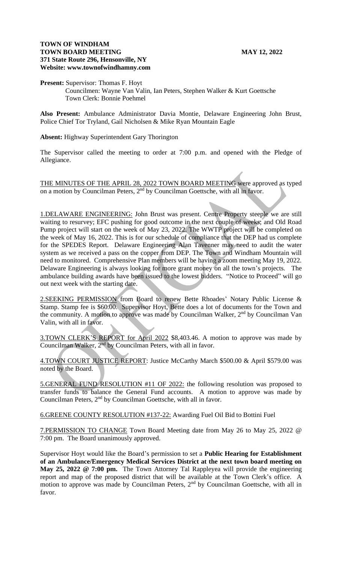### **TOWN OF WINDHAM TOWN BOARD MEETING MAY 12, 2022 371 State Route 296, Hensonville, NY Website: www.townofwindhamny.com**

## **Present:** Supervisor: Thomas F. Hoyt Councilmen: Wayne Van Valin, Ian Peters, Stephen Walker & Kurt Goettsche Town Clerk: Bonnie Poehmel

**Also Present:** Ambulance Administrator Davia Montie, Delaware Engineering John Brust, Police Chief Tor Tryland, Gail Nicholsen & Mike Ryan Mountain Eagle

# **Absent:** Highway Superintendent Gary Thorington

The Supervisor called the meeting to order at 7:00 p.m. and opened with the Pledge of Allegiance.

THE MINUTES OF THE APRIL 28, 2022 TOWN BOARD MEETING were approved as typed on a motion by Councilman Peters, 2<sup>nd</sup> by Councilman Goettsche, with all in favor.

1.DELAWARE ENGINEERING: John Brust was present. Centre Property steeple we are still waiting to resurvey; EFC pushing for good outcome in the next couple of weeks; and Old Road Pump project will start on the week of May 23, 2022. The WWTP project will be completed on the week of May 16, 2022. This is for our schedule of compliance that the DEP had us complete for the SPEDES Report. Delaware Engineering Alan Tavenner may need to audit the water system as we received a pass on the copper from DEP. The Town and Windham Mountain will need to monitored. Comprehensive Plan members will be having a zoom meeting May 19, 2022. Delaware Engineering is always looking for more grant money on all the town's projects. The ambulance building awards have been issued to the lowest bidders. "Notice to Proceed" will go out next week with the starting date.

2.SEEKING PERMISSION from Board to renew Bette Rhoades' Notary Public License & Stamp. Stamp fee is \$60.00. Supervisor Hoyt, Bette does a lot of documents for the Town and the community. A motion to approve was made by Councilman Walker, 2<sup>nd</sup> by Councilman Van Valin, with all in favor.

3.TOWN CLERK'S REPORT for April 2022 \$8,403.46. A motion to approve was made by Councilman Walker,  $2<sup>nd</sup>$  by Councilman Peters, with all in favor.

4.TOWN COURT JUSTICE REPORT: Justice McCarthy March \$500.00 & April \$579.00 was noted by the Board.

5.GENERAL FUND RESOLUTION #11 OF 2022: the following resolution was proposed to transfer funds to balance the General Fund accounts. A motion to approve was made by Councilman Peters, 2<sup>nd</sup> by Councilman Goettsche, with all in favor.

6.GREENE COUNTY RESOLUTION #137-22: Awarding Fuel Oil Bid to Bottini Fuel

7.PERMISSION TO CHANGE Town Board Meeting date from May 26 to May 25, 2022 @ 7:00 pm. The Board unanimously approved.

Supervisor Hoyt would like the Board's permission to set a **Public Hearing for Establishment of an Ambulance/Emergency Medical Services District at the next town board meeting on May 25, 2022 @ 7:00 pm.** The Town Attorney Tal Rappleyea will provide the engineering report and map of the proposed district that will be available at the Town Clerk's office. A motion to approve was made by Councilman Peters, 2<sup>nd</sup> by Councilman Goettsche, with all in favor.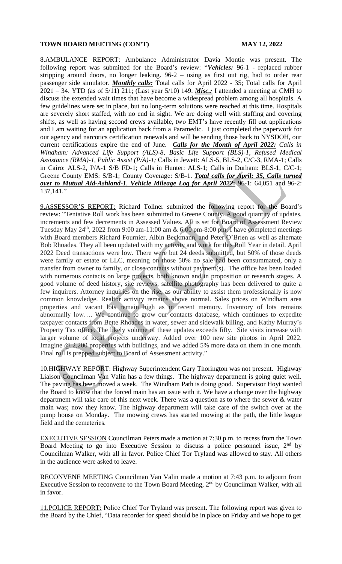### **TOWN BOARD MEETING (CON'T) MAY 12, 2022**

8.AMBULANCE REPORT: Ambulance Administrator Davia Montie was present. The following report was submitted for the Board's review: "*Vehicles:* 96-1 **-** replaced rubber stripping around doors, no longer leaking. 96-2 – using as first out rig, had to order rear passenger side simulator. *Monthly calls:* Total calls for April 2022 - 35; Total calls for April 2021 – 34. YTD (as of 5/11) 211; (Last year 5/10) 149. *Misc.:* I attended a meeting at CMH to discuss the extended wait times that have become a widespread problem among all hospitals. A few guidelines were set in place, but no long-term solutions were reached at this time. Hospitals are severely short staffed, with no end in sight. We are doing well with staffing and covering shifts, as well as having second crews available, two EMT's have recently fill out applications and I am waiting for an application back from a Paramedic. I just completed the paperwork for our agency and narcotics certification renewals and will be sending those back to NYSDOH, our current certifications expire the end of June. *Calls for the Month of April 2022: Calls in Windham: Advanced Life Support (ALS)-8, Basic Life Support (BLS)-1, Refused Medical Assistance (RMA)-1, Public Assist (P/A)-1;* Calls in Jewett: ALS-5, BLS-2, C/C-3, RMA-1; Calls in Cairo: ALS-2, P/A-1 S/B FD-1; Calls in Hunter: ALS-1; Calls in Durham: BLS-1, C/C-1; Greene County EMS: S/B-1; County Coverage: S/B-1. *Total calls for April: 35, Calls turned over to Mutual Aid-Ashland-1. Vehicle Mileage Log for April 2022***:** 96-1: 64,051 and 96-2: 137,141."

9.ASSESSOR'S REPORT: Richard Tollner submitted the following report for the Board's review: "Tentative Roll work has been submitted to Greene County. A good quantity of updates, increments and few decrements in Assessed Values. All is set for Board of Assessment Review Tuesday May  $24^{\text{th}}$ , 2022 from 9:00 am-11:00 am & 6:00 pm-8:00 pm. I have completed meetings with Board members Richard Fournier, Albin Beckmann, and Peter O'Brien as well as alternate Bob Rhoades. They all been updated with my activity and work for this Roll Year in detail. April 2022 Deed transactions were low. There were but 24 deeds submitted, but 50% of those deeds were family or estate or LLC, meaning on those 50% no sale had been consummated, only a transfer from owner to family, or close contacts without payment(s). The office has been loaded with numerous contacts on large projects, both known and in proposition or research stages. A good volume of deed history, site reviews, satellite photography has been delivered to quite a few inquirers. Attorney inquiries on the rise, as our ability to assist them professionally is now common knowledge. Realtor activity remains above normal. Sales prices on Windham area properties and vacant lots remain high as in recent memory. Inventory of lots remains abnormally low…. We continue to grow our contacts database, which continues to expedite taxpayer contacts from Bette Rhoades in water, sewer and sidewalk billing, and Kathy Murray's Property Tax office. The likely volume of these updates exceeds fifty. Site visits increase with larger volume of local projects underway. Added over 100 new site photos in April 2022. Imagine @ 2,200 properties with buildings, and we added 5% more data on them in one month. Final roll is prepped subject to Board of Assessment activity."

10.HIGHWAY REPORT: Highway Superintendent Gary Thorington was not present. Highway Liaison Councilman Van Valin has a few things. The highway department is going quiet well. The paving has been moved a week. The Windham Path is doing good. Supervisor Hoyt wanted the Board to know that the forced main has an issue with it. We have a change over the highway department will take care of this next week. There was a question as to where the sewer & water main was; now they know. The highway department will take care of the switch over at the pump house on Monday. The mowing crews has started mowing at the path, the little league field and the cemeteries.

EXECUTIVE SESSION Councilman Peters made a motion at 7:30 p.m. to recess from the Town Board Meeting to go into Executive Session to discuss a police personnel issue, 2<sup>nd</sup> by Councilman Walker, with all in favor. Police Chief Tor Tryland was allowed to stay. All others in the audience were asked to leave.

RECONVENE MEETING Councilman Van Valin made a motion at 7:43 p.m. to adjourn from Executive Session to reconvene to the Town Board Meeting, 2<sup>nd</sup> by Councilman Walker, with all in favor.

11.POLICE REPORT: Police Chief Tor Tryland was present. The following report was given to the Board by the Chief, "Data recorder for speed should be in place on Friday and we hope to get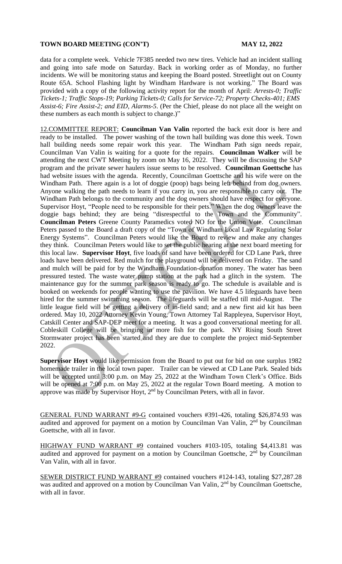# **TOWN BOARD MEETING (CON'T) MAY 12, 2022**

data for a complete week. Vehicle 7F385 needed two new tires. Vehicle had an incident stalling and going into safe mode on Saturday. Back in working order as of Monday, no further incidents. We will be monitoring status and keeping the Board posted. Streetlight out on County Route 65A. School Flashing light by Windham Hardware is not working." The Board was provided with a copy of the following activity report for the month of April: *Arrests-0; Traffic Tickets-1; Traffic Stops-19; Parking Tickets-0; Calls for Service-72; Property Checks-401; EMS Assist-6; Fire Assist-2; and EID, Alarms-5*. (Per the Chief, please do not place all the weight on these numbers as each month is subject to change.)"

12.COMMITTEE REPORT: **Councilman Van Valin** reported the back exit door is here and ready to be installed. The power washing of the town hall building was done this week. Town hall building needs some repair work this year. The Windham Path sign needs repair, Councilman Van Valin is waiting for a quote for the repairs. **Councilman Walker** will be attending the next CWT Meeting by zoom on May 16, 2022. They will be discussing the SAP program and the private sewer haulers issue seems to be resolved. **Councilman Goettsche** has had website issues with the agenda. Recently, Councilman Goettsche and his wife were on the Windham Path. There again is a lot of doggie (poop) bags being left behind from dog owners. Anyone walking the path needs to learn if you carry in, you are responsible to carry out. The Windham Path belongs to the community and the dog owners should have respect for everyone. Supervisor Hoyt, "People need to be responsible for their pets." When the dog owners leave the doggie bags behind; they are being "disrespectful to the Town and the Community". **Councilman Peters** Greene County Paramedics voted NO for the Union Vote. Councilman Peters passed to the Board a draft copy of the "Town of Windham Local Law Regulating Solar Energy Systems". Councilman Peters would like the Board to review and make any changes they think. Councilman Peters would like to set the public hearing at the next board meeting for this local law. **Supervisor Hoyt**, five loads of sand have been ordered for CD Lane Park, three loads have been delivered. Red mulch for the playground will be delivered on Friday. The sand and mulch will be paid for by the Windham Foundation-donation money. The water has been pressured tested. The waste water pump station at the park had a glitch in the system. The maintenance guy for the summer park season is ready to go. The schedule is available and is booked on weekends for people wanting to use the pavilion. We have 4.5 lifeguards have been hired for the summer swimming season. The lifeguards will be staffed till mid-August. The little league field will be getting a delivery of in-field sand; and a new first aid kit has been ordered. May 10, 2022 Attorney Kevin Young, Town Attorney Tal Rappleyea, Supervisor Hoyt, Catskill Center and SAP-DEP meet for a meeting. It was a good conversational meeting for all. Cobleskill College will be bringing in more fish for the park. NY Rising South Street Stormwater project has been started and they are due to complete the project mid-September 2022.

**Supervisor Hoyt** would like permission from the Board to put out for bid on one surplus 1982 homemade trailer in the local town paper. Trailer can be viewed at CD Lane Park. Sealed bids will be accepted until 3:00 p.m. on May 25, 2022 at the Windham Town Clerk's Office. Bids will be opened at 7:00 p.m. on May 25, 2022 at the regular Town Board meeting. A motion to approve was made by Supervisor Hoyt, 2<sup>nd</sup> by Councilman Peters, with all in favor.

GENERAL FUND WARRANT #9-G contained vouchers #391-426, totaling \$26,874.93 was audited and approved for payment on a motion by Councilman Van Valin, 2<sup>nd</sup> by Councilman Goettsche, with all in favor.

HIGHWAY FUND WARRANT #9 contained vouchers #103-105, totaling \$4,413.81 was audited and approved for payment on a motion by Councilman Goettsche,  $2<sup>nd</sup>$  by Councilman Van Valin, with all in favor.

SEWER DISTRICT FUND WARRANT #9 contained vouchers #124-143, totaling \$27,287.28 was audited and approved on a motion by Councilman Van Valin, 2nd by Councilman Goettsche, with all in favor.